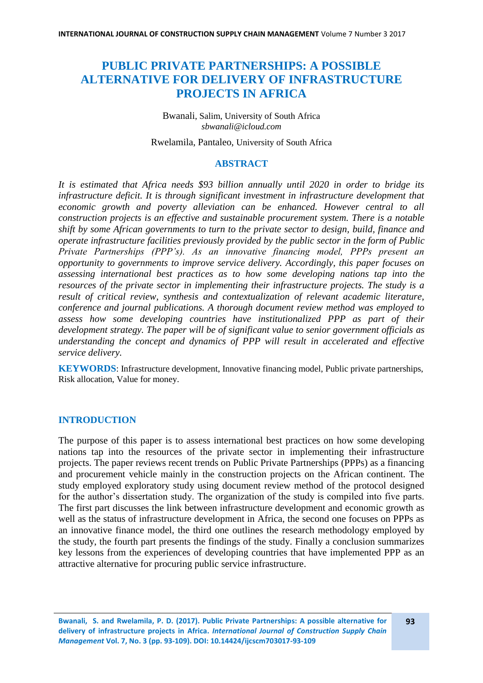# **PUBLIC PRIVATE PARTNERSHIPS: A POSSIBLE ALTERNATIVE FOR DELIVERY OF INFRASTRUCTURE PROJECTS IN AFRICA**

Bwanali, Salim, University of South Africa *sbwanali@icloud.com*

Rwelamila, Pantaleo, University of South Africa

#### **ABSTRACT**

*It is estimated that Africa needs \$93 billion annually until 2020 in order to bridge its infrastructure deficit. It is through significant investment in infrastructure development that economic growth and poverty alleviation can be enhanced. However central to all construction projects is an effective and sustainable procurement system. There is a notable shift by some African governments to turn to the private sector to design, build, finance and operate infrastructure facilities previously provided by the public sector in the form of Public Private Partnerships (PPP's). As an innovative financing model, PPPs present an opportunity to governments to improve service delivery. Accordingly, this paper focuses on assessing international best practices as to how some developing nations tap into the resources of the private sector in implementing their infrastructure projects. The study is a result of critical review, synthesis and contextualization of relevant academic literature, conference and journal publications. A thorough document review method was employed to assess how some developing countries have institutionalized PPP as part of their development strategy. The paper will be of significant value to senior government officials as understanding the concept and dynamics of PPP will result in accelerated and effective service delivery.*

**KEYWORDS**: Infrastructure development, Innovative financing model, Public private partnerships, Risk allocation, Value for money.

## **INTRODUCTION**

The purpose of this paper is to assess international best practices on how some developing nations tap into the resources of the private sector in implementing their infrastructure projects. The paper reviews recent trends on Public Private Partnerships (PPPs) as a financing and procurement vehicle mainly in the construction projects on the African continent. The study employed exploratory study using document review method of the protocol designed for the author's dissertation study. The organization of the study is compiled into five parts. The first part discusses the link between infrastructure development and economic growth as well as the status of infrastructure development in Africa, the second one focuses on PPPs as an innovative finance model, the third one outlines the research methodology employed by the study, the fourth part presents the findings of the study. Finally a conclusion summarizes key lessons from the experiences of developing countries that have implemented PPP as an attractive alternative for procuring public service infrastructure.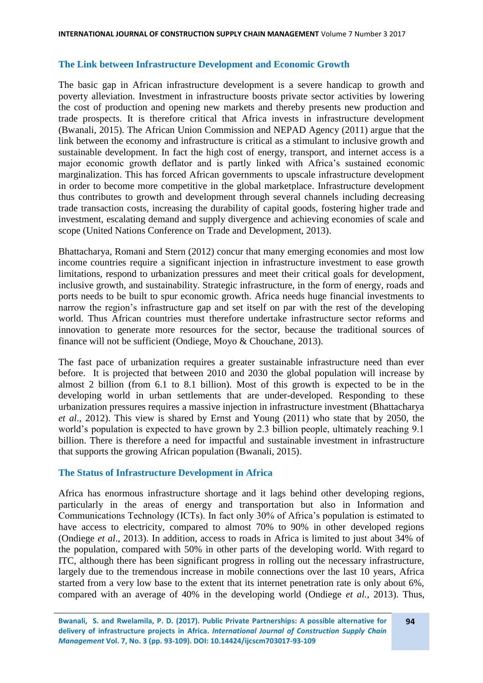### **The Link between Infrastructure Development and Economic Growth**

The basic gap in African infrastructure development is a severe handicap to growth and poverty alleviation. Investment in infrastructure boosts private sector activities by lowering the cost of production and opening new markets and thereby presents new production and trade prospects. It is therefore critical that Africa invests in infrastructure development (Bwanali, 2015). The African Union Commission and NEPAD Agency (2011) argue that the link between the economy and infrastructure is critical as a stimulant to inclusive growth and sustainable development. In fact the high cost of energy, transport, and internet access is a major economic growth deflator and is partly linked with Africa's sustained economic marginalization. This has forced African governments to upscale infrastructure development in order to become more competitive in the global marketplace. Infrastructure development thus contributes to growth and development through several channels including decreasing trade transaction costs, increasing the durability of capital goods, fostering higher trade and investment, escalating demand and supply divergence and achieving economies of scale and scope (United Nations Conference on Trade and Development, 2013).

Bhattacharya, Romani and Stern (2012) concur that many emerging economies and most low income countries require a significant injection in infrastructure investment to ease growth limitations, respond to urbanization pressures and meet their critical goals for development, inclusive growth, and sustainability. Strategic infrastructure, in the form of energy, roads and ports needs to be built to spur economic growth. Africa needs huge financial investments to narrow the region's infrastructure gap and set itself on par with the rest of the developing world. Thus African countries must therefore undertake infrastructure sector reforms and innovation to generate more resources for the sector, because the traditional sources of finance will not be sufficient (Ondiege, Moyo & Chouchane, 2013).

The fast pace of urbanization requires a greater sustainable infrastructure need than ever before. It is projected that between 2010 and 2030 the global population will increase by almost 2 billion (from 6.1 to 8.1 billion). Most of this growth is expected to be in the developing world in urban settlements that are under-developed. Responding to these urbanization pressures requires a massive injection in infrastructure investment (Bhattacharya *et al*., 2012). This view is shared by Ernst and Young (2011) who state that by 2050, the world's population is expected to have grown by 2.3 billion people, ultimately reaching 9.1 billion. There is therefore a need for impactful and sustainable investment in infrastructure that supports the growing African population (Bwanali, 2015).

### **The Status of Infrastructure Development in Africa**

Africa has enormous infrastructure shortage and it lags behind other developing regions, particularly in the areas of energy and transportation but also in Information and Communications Technology (ICTs). In fact only 30% of Africa's population is estimated to have access to electricity, compared to almost 70% to 90% in other developed regions (Ondiege *et al*., 2013). In addition, access to roads in Africa is limited to just about 34% of the population, compared with 50% in other parts of the developing world. With regard to ITC, although there has been significant progress in rolling out the necessary infrastructure, largely due to the tremendous increase in mobile connections over the last 10 years, Africa started from a very low base to the extent that its internet penetration rate is only about 6%, compared with an average of 40% in the developing world (Ondiege *et al.,* 2013). Thus,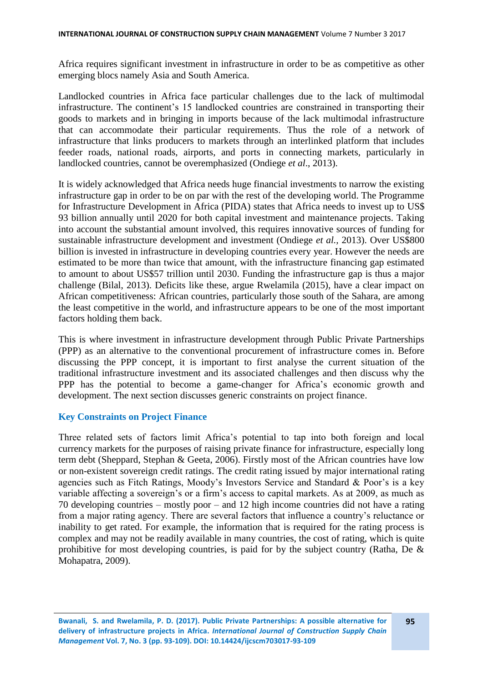Africa requires significant investment in infrastructure in order to be as competitive as other emerging blocs namely Asia and South America.

Landlocked countries in Africa face particular challenges due to the lack of multimodal infrastructure. The continent's 15 landlocked countries are constrained in transporting their goods to markets and in bringing in imports because of the lack multimodal infrastructure that can accommodate their particular requirements. Thus the role of a network of infrastructure that links producers to markets through an interlinked platform that includes feeder roads, national roads, airports, and ports in connecting markets, particularly in landlocked countries, cannot be overemphasized (Ondiege *et al*., 2013).

It is widely acknowledged that Africa needs huge financial investments to narrow the existing infrastructure gap in order to be on par with the rest of the developing world. The Programme for Infrastructure Development in Africa (PIDA) states that Africa needs to invest up to US\$ 93 billion annually until 2020 for both capital investment and maintenance projects. Taking into account the substantial amount involved, this requires innovative sources of funding for sustainable infrastructure development and investment (Ondiege *et al.,* 2013). Over US\$800 billion is invested in infrastructure in developing countries every year. However the needs are estimated to be more than twice that amount, with the infrastructure financing gap estimated to amount to about US\$57 trillion until 2030. Funding the infrastructure gap is thus a major challenge (Bilal, 2013). Deficits like these, argue Rwelamila (2015), have a clear impact on African competitiveness: African countries, particularly those south of the Sahara, are among the least competitive in the world, and infrastructure appears to be one of the most important factors holding them back.

This is where investment in infrastructure development through Public Private Partnerships (PPP) as an alternative to the conventional procurement of infrastructure comes in. Before discussing the PPP concept, it is important to first analyse the current situation of the traditional infrastructure investment and its associated challenges and then discuss why the PPP has the potential to become a game-changer for Africa's economic growth and development. The next section discusses generic constraints on project finance.

#### **Key Constraints on Project Finance**

Three related sets of factors limit Africa's potential to tap into both foreign and local currency markets for the purposes of raising private finance for infrastructure, especially long term debt (Sheppard, Stephan & Geeta, 2006). Firstly most of the African countries have low or non-existent sovereign credit ratings. The credit rating issued by major international rating agencies such as Fitch Ratings, Moody's Investors Service and Standard & Poor's is a key variable affecting a sovereign's or a firm's access to capital markets. As at 2009, as much as 70 developing countries – mostly poor – and 12 high income countries did not have a rating from a major rating agency. There are several factors that influence a country's reluctance or inability to get rated. For example, the information that is required for the rating process is complex and may not be readily available in many countries, the cost of rating, which is quite prohibitive for most developing countries, is paid for by the subject country (Ratha, De & Mohapatra, 2009).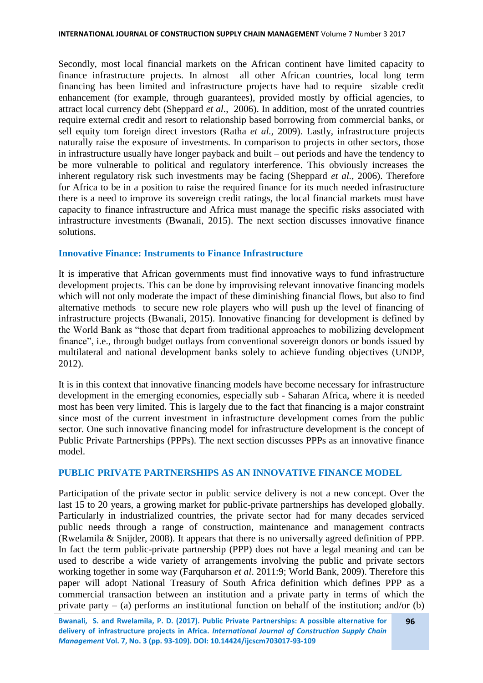Secondly, most local financial markets on the African continent have limited capacity to finance infrastructure projects. In almost all other African countries, local long term financing has been limited and infrastructure projects have had to require sizable credit enhancement (for example, through guarantees), provided mostly by official agencies, to attract local currency debt (Sheppard *et al*., 2006). In addition, most of the unrated countries require external credit and resort to relationship based borrowing from commercial banks, or sell equity tom foreign direct investors (Ratha *et al.,* 2009). Lastly, infrastructure projects naturally raise the exposure of investments. In comparison to projects in other sectors, those in infrastructure usually have longer payback and built – out periods and have the tendency to be more vulnerable to political and regulatory interference. This obviously increases the inherent regulatory risk such investments may be facing (Sheppard *et al.,* 2006). Therefore for Africa to be in a position to raise the required finance for its much needed infrastructure there is a need to improve its sovereign credit ratings, the local financial markets must have capacity to finance infrastructure and Africa must manage the specific risks associated with infrastructure investments (Bwanali, 2015). The next section discusses innovative finance solutions.

### **Innovative Finance: Instruments to Finance Infrastructure**

It is imperative that African governments must find innovative ways to fund infrastructure development projects. This can be done by improvising relevant innovative financing models which will not only moderate the impact of these diminishing financial flows, but also to find alternative methods to secure new role players who will push up the level of financing of infrastructure projects (Bwanali, 2015). Innovative financing for development is defined by the World Bank as "those that depart from traditional approaches to mobilizing development finance", i.e., through budget outlays from conventional sovereign donors or bonds issued by multilateral and national development banks solely to achieve funding objectives (UNDP, 2012).

It is in this context that innovative financing models have become necessary for infrastructure development in the emerging economies, especially sub - Saharan Africa, where it is needed most has been very limited. This is largely due to the fact that financing is a major constraint since most of the current investment in infrastructure development comes from the public sector. One such innovative financing model for infrastructure development is the concept of Public Private Partnerships (PPPs). The next section discusses PPPs as an innovative finance model.

### **PUBLIC PRIVATE PARTNERSHIPS AS AN INNOVATIVE FINANCE MODEL**

Participation of the private sector in public service delivery is not a new concept. Over the last 15 to 20 years, a growing market for public-private partnerships has developed globally. Particularly in industrialized countries, the private sector had for many decades serviced public needs through a range of construction, maintenance and management contracts (Rwelamila & Snijder, 2008). It appears that there is no universally agreed definition of PPP. In fact the term public-private partnership (PPP) does not have a legal meaning and can be used to describe a wide variety of arrangements involving the public and private sectors working together in some way (Farquharson *et al*. 2011:9; World Bank, 2009). Therefore this paper will adopt National Treasury of South Africa definition which defines PPP as a commercial transaction between an institution and a private party in terms of which the private party – (a) performs an institutional function on behalf of the institution; and/or (b)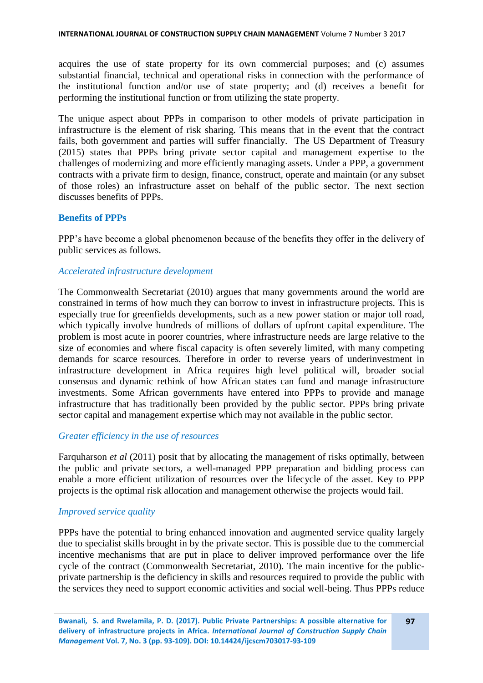acquires the use of state property for its own commercial purposes; and (c) assumes substantial financial, technical and operational risks in connection with the performance of the institutional function and/or use of state property; and (d) receives a benefit for performing the institutional function or from utilizing the state property.

The unique aspect about PPPs in comparison to other models of private participation in infrastructure is the element of risk sharing. This means that in the event that the contract fails, both government and parties will suffer financially. The US Department of Treasury (2015) states that PPPs bring private sector capital and management expertise to the challenges of modernizing and more efficiently managing assets. Under a PPP, a government contracts with a private firm to design, finance, construct, operate and maintain (or any subset of those roles) an infrastructure asset on behalf of the public sector. The next section discusses benefits of PPPs.

#### **Benefits of PPPs**

PPP's have become a global phenomenon because of the benefits they offer in the delivery of public services as follows.

#### *Accelerated infrastructure development*

The Commonwealth Secretariat (2010) argues that many governments around the world are constrained in terms of how much they can borrow to invest in infrastructure projects. This is especially true for greenfields developments, such as a new power station or major toll road, which typically involve hundreds of millions of dollars of upfront capital expenditure. The problem is most acute in poorer countries, where infrastructure needs are large relative to the size of economies and where fiscal capacity is often severely limited, with many competing demands for scarce resources. Therefore in order to reverse years of underinvestment in infrastructure development in Africa requires high level political will, broader social consensus and dynamic rethink of how African states can fund and manage infrastructure investments. Some African governments have entered into PPPs to provide and manage infrastructure that has traditionally been provided by the public sector. PPPs bring private sector capital and management expertise which may not available in the public sector.

### *Greater efficiency in the use of resources*

Farquharson *et al* (2011) posit that by allocating the management of risks optimally, between the public and private sectors, a well-managed PPP preparation and bidding process can enable a more efficient utilization of resources over the lifecycle of the asset. Key to PPP projects is the optimal risk allocation and management otherwise the projects would fail.

### *Improved service quality*

PPPs have the potential to bring enhanced innovation and augmented service quality largely due to specialist skills brought in by the private sector. This is possible due to the commercial incentive mechanisms that are put in place to deliver improved performance over the life cycle of the contract (Commonwealth Secretariat, 2010). The main incentive for the publicprivate partnership is the deficiency in skills and resources required to provide the public with the services they need to support economic activities and social well-being. Thus PPPs reduce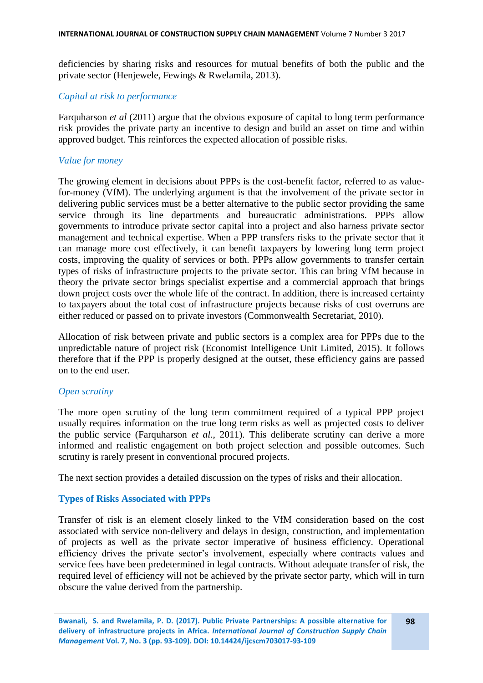deficiencies by sharing risks and resources for mutual benefits of both the public and the private sector (Henjewele, Fewings & Rwelamila, 2013).

#### *Capital at risk to performance*

Farquharson *et al* (2011) argue that the obvious exposure of capital to long term performance risk provides the private party an incentive to design and build an asset on time and within approved budget. This reinforces the expected allocation of possible risks.

#### *Value for money*

The growing element in decisions about PPPs is the cost-benefit factor, referred to as valuefor-money (VfM). The underlying argument is that the involvement of the private sector in delivering public services must be a better alternative to the public sector providing the same service through its line departments and bureaucratic administrations. PPPs allow governments to introduce private sector capital into a project and also harness private sector management and technical expertise. When a PPP transfers risks to the private sector that it can manage more cost effectively, it can benefit taxpayers by lowering long term project costs, improving the quality of services or both. PPPs allow governments to transfer certain types of risks of infrastructure projects to the private sector. This can bring VfM because in theory the private sector brings specialist expertise and a commercial approach that brings down project costs over the whole life of the contract. In addition, there is increased certainty to taxpayers about the total cost of infrastructure projects because risks of cost overruns are either reduced or passed on to private investors (Commonwealth Secretariat, 2010).

Allocation of risk between private and public sectors is a complex area for PPPs due to the unpredictable nature of project risk (Economist Intelligence Unit Limited, 2015). It follows therefore that if the PPP is properly designed at the outset, these efficiency gains are passed on to the end user.

#### *Open scrutiny*

The more open scrutiny of the long term commitment required of a typical PPP project usually requires information on the true long term risks as well as projected costs to deliver the public service (Farquharson *et al*., 2011). This deliberate scrutiny can derive a more informed and realistic engagement on both project selection and possible outcomes. Such scrutiny is rarely present in conventional procured projects.

The next section provides a detailed discussion on the types of risks and their allocation.

#### **Types of Risks Associated with PPPs**

Transfer of risk is an element closely linked to the VfM consideration based on the cost associated with service non-delivery and delays in design, construction, and implementation of projects as well as the private sector imperative of business efficiency. Operational efficiency drives the private sector's involvement, especially where contracts values and service fees have been predetermined in legal contracts. Without adequate transfer of risk, the required level of efficiency will not be achieved by the private sector party, which will in turn obscure the value derived from the partnership.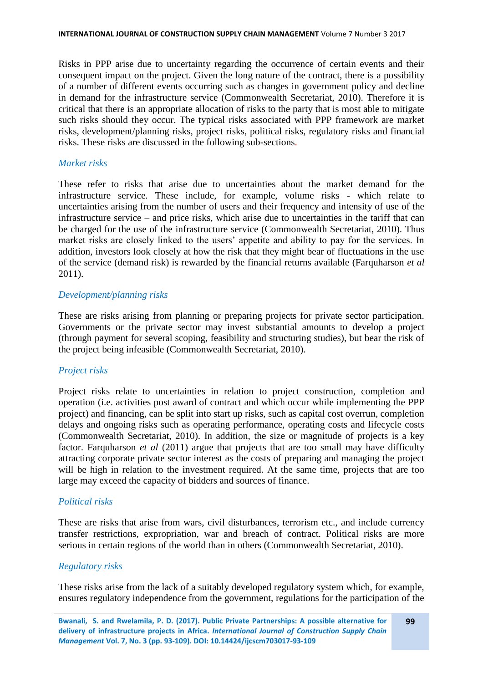Risks in PPP arise due to uncertainty regarding the occurrence of certain events and their consequent impact on the project. Given the long nature of the contract, there is a possibility of a number of different events occurring such as changes in government policy and decline in demand for the infrastructure service (Commonwealth Secretariat, 2010). Therefore it is critical that there is an appropriate allocation of risks to the party that is most able to mitigate such risks should they occur. The typical risks associated with PPP framework are market risks, development/planning risks, project risks, political risks, regulatory risks and financial risks. These risks are discussed in the following sub-sections.

#### *Market risks*

These refer to risks that arise due to uncertainties about the market demand for the infrastructure service. These include, for example, volume risks - which relate to uncertainties arising from the number of users and their frequency and intensity of use of the infrastructure service – and price risks, which arise due to uncertainties in the tariff that can be charged for the use of the infrastructure service (Commonwealth Secretariat, 2010). Thus market risks are closely linked to the users' appetite and ability to pay for the services. In addition, investors look closely at how the risk that they might bear of fluctuations in the use of the service (demand risk) is rewarded by the financial returns available (Farquharson *et al* 2011).

### *Development/planning risks*

These are risks arising from planning or preparing projects for private sector participation. Governments or the private sector may invest substantial amounts to develop a project (through payment for several scoping, feasibility and structuring studies), but bear the risk of the project being infeasible (Commonwealth Secretariat, 2010).

### *Project risks*

Project risks relate to uncertainties in relation to project construction, completion and operation (i.e. activities post award of contract and which occur while implementing the PPP project) and financing, can be split into start up risks, such as capital cost overrun, completion delays and ongoing risks such as operating performance, operating costs and lifecycle costs (Commonwealth Secretariat, 2010). In addition, the size or magnitude of projects is a key factor. Farquharson *et al* (2011) argue that projects that are too small may have difficulty attracting corporate private sector interest as the costs of preparing and managing the project will be high in relation to the investment required. At the same time, projects that are too large may exceed the capacity of bidders and sources of finance.

### *Political risks*

These are risks that arise from wars, civil disturbances, terrorism etc., and include currency transfer restrictions, expropriation, war and breach of contract. Political risks are more serious in certain regions of the world than in others (Commonwealth Secretariat, 2010).

### *Regulatory risks*

These risks arise from the lack of a suitably developed regulatory system which, for example, ensures regulatory independence from the government, regulations for the participation of the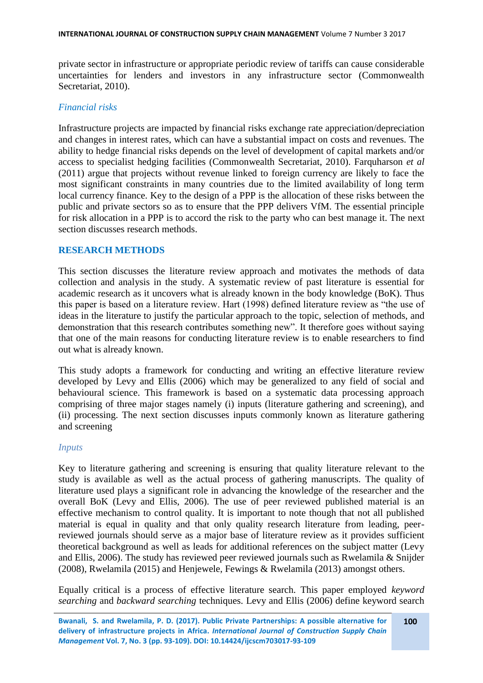private sector in infrastructure or appropriate periodic review of tariffs can cause considerable uncertainties for lenders and investors in any infrastructure sector (Commonwealth Secretariat, 2010).

### *Financial risks*

Infrastructure projects are impacted by financial risks exchange rate appreciation/depreciation and changes in interest rates, which can have a substantial impact on costs and revenues. The ability to hedge financial risks depends on the level of development of capital markets and/or access to specialist hedging facilities (Commonwealth Secretariat, 2010). Farquharson *et al* (2011) argue that projects without revenue linked to foreign currency are likely to face the most significant constraints in many countries due to the limited availability of long term local currency finance. Key to the design of a PPP is the allocation of these risks between the public and private sectors so as to ensure that the PPP delivers VfM. The essential principle for risk allocation in a PPP is to accord the risk to the party who can best manage it. The next section discusses research methods.

### **RESEARCH METHODS**

This section discusses the literature review approach and motivates the methods of data collection and analysis in the study. A systematic review of past literature is essential for academic research as it uncovers what is already known in the body knowledge (BoK). Thus this paper is based on a literature review. Hart (1998) defined literature review as "the use of ideas in the literature to justify the particular approach to the topic, selection of methods, and demonstration that this research contributes something new". It therefore goes without saying that one of the main reasons for conducting literature review is to enable researchers to find out what is already known.

This study adopts a framework for conducting and writing an effective literature review developed by Levy and Ellis (2006) which may be generalized to any field of social and behavioural science. This framework is based on a systematic data processing approach comprising of three major stages namely (i) inputs (literature gathering and screening), and (ii) processing. The next section discusses inputs commonly known as literature gathering and screening

### *Inputs*

Key to literature gathering and screening is ensuring that quality literature relevant to the study is available as well as the actual process of gathering manuscripts. The quality of literature used plays a significant role in advancing the knowledge of the researcher and the overall BoK (Levy and Ellis, 2006). The use of peer reviewed published material is an effective mechanism to control quality. It is important to note though that not all published material is equal in quality and that only quality research literature from leading, peerreviewed journals should serve as a major base of literature review as it provides sufficient theoretical background as well as leads for additional references on the subject matter (Levy and Ellis, 2006). The study has reviewed peer reviewed journals such as Rwelamila & Snijder (2008), Rwelamila (2015) and Henjewele, Fewings & Rwelamila (2013) amongst others.

Equally critical is a process of effective literature search. This paper employed *keyword searching* and *backward searching* techniques. Levy and Ellis (2006) define keyword search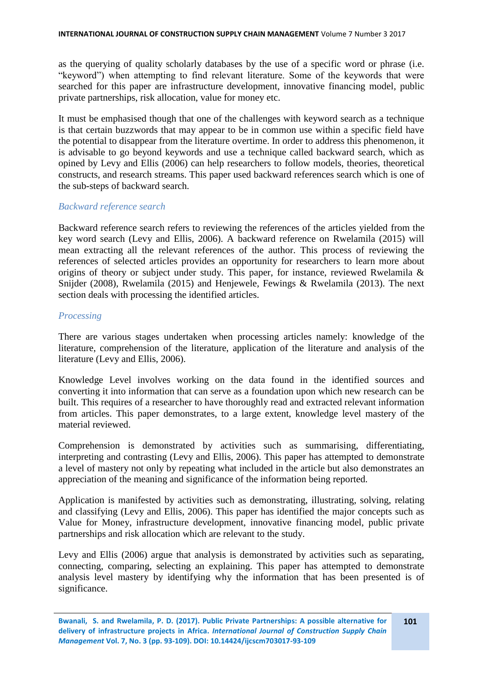as the querying of quality scholarly databases by the use of a specific word or phrase (i.e. "keyword") when attempting to find relevant literature. Some of the keywords that were searched for this paper are infrastructure development, innovative financing model, public private partnerships, risk allocation, value for money etc.

It must be emphasised though that one of the challenges with keyword search as a technique is that certain buzzwords that may appear to be in common use within a specific field have the potential to disappear from the literature overtime. In order to address this phenomenon, it is advisable to go beyond keywords and use a technique called backward search, which as opined by Levy and Ellis (2006) can help researchers to follow models, theories, theoretical constructs, and research streams. This paper used backward references search which is one of the sub-steps of backward search.

#### *Backward reference search*

Backward reference search refers to reviewing the references of the articles yielded from the key word search (Levy and Ellis, 2006). A backward reference on Rwelamila (2015) will mean extracting all the relevant references of the author. This process of reviewing the references of selected articles provides an opportunity for researchers to learn more about origins of theory or subject under study. This paper, for instance, reviewed Rwelamila & Snijder (2008), Rwelamila (2015) and Henjewele, Fewings & Rwelamila (2013). The next section deals with processing the identified articles.

### *Processing*

There are various stages undertaken when processing articles namely: knowledge of the literature, comprehension of the literature, application of the literature and analysis of the literature (Levy and Ellis, 2006).

Knowledge Level involves working on the data found in the identified sources and converting it into information that can serve as a foundation upon which new research can be built. This requires of a researcher to have thoroughly read and extracted relevant information from articles. This paper demonstrates, to a large extent, knowledge level mastery of the material reviewed.

Comprehension is demonstrated by activities such as summarising, differentiating, interpreting and contrasting (Levy and Ellis, 2006). This paper has attempted to demonstrate a level of mastery not only by repeating what included in the article but also demonstrates an appreciation of the meaning and significance of the information being reported.

Application is manifested by activities such as demonstrating, illustrating, solving, relating and classifying (Levy and Ellis, 2006). This paper has identified the major concepts such as Value for Money, infrastructure development, innovative financing model, public private partnerships and risk allocation which are relevant to the study.

Levy and Ellis (2006) argue that analysis is demonstrated by activities such as separating, connecting, comparing, selecting an explaining. This paper has attempted to demonstrate analysis level mastery by identifying why the information that has been presented is of significance.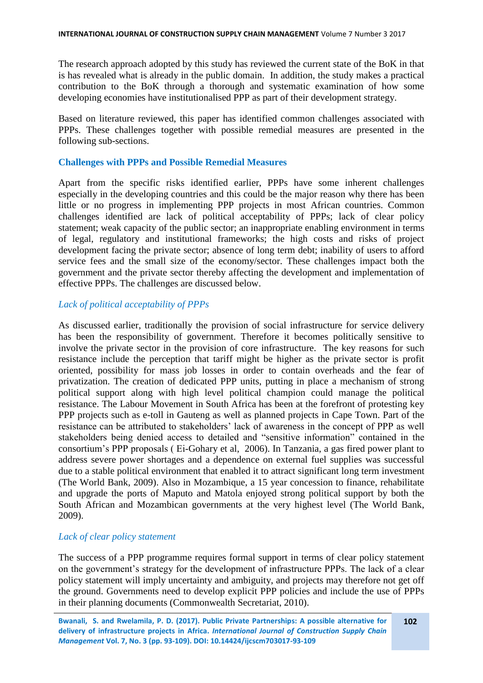The research approach adopted by this study has reviewed the current state of the BoK in that is has revealed what is already in the public domain. In addition, the study makes a practical contribution to the BoK through a thorough and systematic examination of how some developing economies have institutionalised PPP as part of their development strategy.

Based on literature reviewed, this paper has identified common challenges associated with PPPs. These challenges together with possible remedial measures are presented in the following sub-sections.

#### **Challenges with PPPs and Possible Remedial Measures**

Apart from the specific risks identified earlier, PPPs have some inherent challenges especially in the developing countries and this could be the major reason why there has been little or no progress in implementing PPP projects in most African countries. Common challenges identified are lack of political acceptability of PPPs; lack of clear policy statement; weak capacity of the public sector; an inappropriate enabling environment in terms of legal, regulatory and institutional frameworks; the high costs and risks of project development facing the private sector; absence of long term debt; inability of users to afford service fees and the small size of the economy/sector. These challenges impact both the government and the private sector thereby affecting the development and implementation of effective PPPs. The challenges are discussed below.

### *Lack of political acceptability of PPPs*

As discussed earlier, traditionally the provision of social infrastructure for service delivery has been the responsibility of government. Therefore it becomes politically sensitive to involve the private sector in the provision of core infrastructure. The key reasons for such resistance include the perception that tariff might be higher as the private sector is profit oriented, possibility for mass job losses in order to contain overheads and the fear of privatization. The creation of dedicated PPP units, putting in place a mechanism of strong political support along with high level political champion could manage the political resistance. The Labour Movement in South Africa has been at the forefront of protesting key PPP projects such as e-toll in Gauteng as well as planned projects in Cape Town. Part of the resistance can be attributed to stakeholders' lack of awareness in the concept of PPP as well stakeholders being denied access to detailed and "sensitive information" contained in the consortium's PPP proposals ( Ei-Gohary et al, 2006). In Tanzania, a gas fired power plant to address severe power shortages and a dependence on external fuel supplies was successful due to a stable political environment that enabled it to attract significant long term investment (The World Bank, 2009). Also in Mozambique, a 15 year concession to finance, rehabilitate and upgrade the ports of Maputo and Matola enjoyed strong political support by both the South African and Mozambican governments at the very highest level (The World Bank, 2009).

### *Lack of clear policy statement*

The success of a PPP programme requires formal support in terms of clear policy statement on the government's strategy for the development of infrastructure PPPs. The lack of a clear policy statement will imply uncertainty and ambiguity, and projects may therefore not get off the ground. Governments need to develop explicit PPP policies and include the use of PPPs in their planning documents (Commonwealth Secretariat, 2010).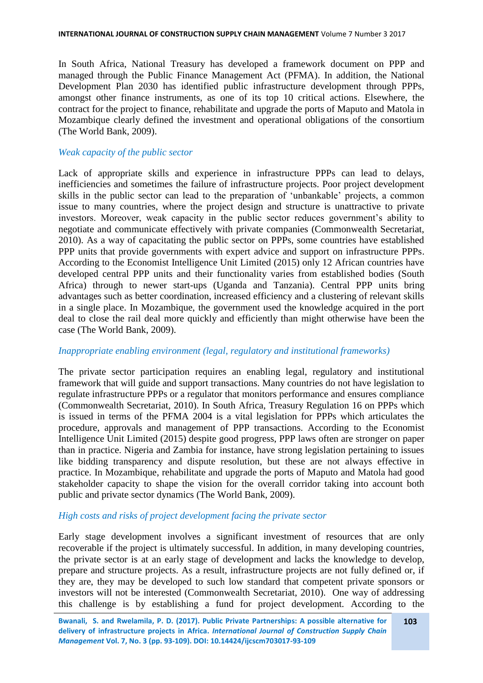In South Africa, National Treasury has developed a framework document on PPP and managed through the Public Finance Management Act (PFMA). In addition, the National Development Plan 2030 has identified public infrastructure development through PPPs, amongst other finance instruments, as one of its top 10 critical actions. Elsewhere, the contract for the project to finance, rehabilitate and upgrade the ports of Maputo and Matola in Mozambique clearly defined the investment and operational obligations of the consortium (The World Bank, 2009).

### *Weak capacity of the public sector*

Lack of appropriate skills and experience in infrastructure PPPs can lead to delays, inefficiencies and sometimes the failure of infrastructure projects. Poor project development skills in the public sector can lead to the preparation of 'unbankable' projects, a common issue to many countries, where the project design and structure is unattractive to private investors. Moreover, weak capacity in the public sector reduces government's ability to negotiate and communicate effectively with private companies (Commonwealth Secretariat, 2010). As a way of capacitating the public sector on PPPs, some countries have established PPP units that provide governments with expert advice and support on infrastructure PPPs. According to the Economist Intelligence Unit Limited (2015) only 12 African countries have developed central PPP units and their functionality varies from established bodies (South Africa) through to newer start-ups (Uganda and Tanzania). Central PPP units bring advantages such as better coordination, increased efficiency and a clustering of relevant skills in a single place. In Mozambique, the government used the knowledge acquired in the port deal to close the rail deal more quickly and efficiently than might otherwise have been the case (The World Bank, 2009).

### *Inappropriate enabling environment (legal, regulatory and institutional frameworks)*

The private sector participation requires an enabling legal, regulatory and institutional framework that will guide and support transactions. Many countries do not have legislation to regulate infrastructure PPPs or a regulator that monitors performance and ensures compliance (Commonwealth Secretariat, 2010). In South Africa, Treasury Regulation 16 on PPPs which is issued in terms of the PFMA 2004 is a vital legislation for PPPs which articulates the procedure, approvals and management of PPP transactions. According to the Economist Intelligence Unit Limited (2015) despite good progress, PPP laws often are stronger on paper than in practice. Nigeria and Zambia for instance, have strong legislation pertaining to issues like bidding transparency and dispute resolution, but these are not always effective in practice. In Mozambique, rehabilitate and upgrade the ports of Maputo and Matola had good stakeholder capacity to shape the vision for the overall corridor taking into account both public and private sector dynamics (The World Bank, 2009).

### *High costs and risks of project development facing the private sector*

Early stage development involves a significant investment of resources that are only recoverable if the project is ultimately successful. In addition, in many developing countries, the private sector is at an early stage of development and lacks the knowledge to develop, prepare and structure projects. As a result, infrastructure projects are not fully defined or, if they are, they may be developed to such low standard that competent private sponsors or investors will not be interested (Commonwealth Secretariat, 2010). One way of addressing this challenge is by establishing a fund for project development. According to the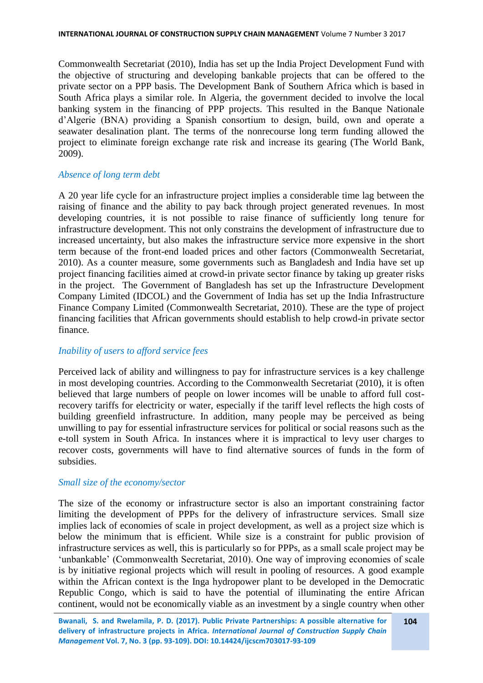Commonwealth Secretariat (2010), India has set up the India Project Development Fund with the objective of structuring and developing bankable projects that can be offered to the private sector on a PPP basis. The Development Bank of Southern Africa which is based in South Africa plays a similar role. In Algeria, the government decided to involve the local banking system in the financing of PPP projects. This resulted in the Banque Nationale d'Algerie (BNA) providing a Spanish consortium to design, build, own and operate a seawater desalination plant. The terms of the nonrecourse long term funding allowed the project to eliminate foreign exchange rate risk and increase its gearing (The World Bank, 2009).

### *Absence of long term debt*

A 20 year life cycle for an infrastructure project implies a considerable time lag between the raising of finance and the ability to pay back through project generated revenues. In most developing countries, it is not possible to raise finance of sufficiently long tenure for infrastructure development. This not only constrains the development of infrastructure due to increased uncertainty, but also makes the infrastructure service more expensive in the short term because of the front-end loaded prices and other factors (Commonwealth Secretariat, 2010). As a counter measure, some governments such as Bangladesh and India have set up project financing facilities aimed at crowd-in private sector finance by taking up greater risks in the project. The Government of Bangladesh has set up the Infrastructure Development Company Limited (IDCOL) and the Government of India has set up the India Infrastructure Finance Company Limited (Commonwealth Secretariat, 2010). These are the type of project financing facilities that African governments should establish to help crowd-in private sector finance.

### *Inability of users to afford service fees*

Perceived lack of ability and willingness to pay for infrastructure services is a key challenge in most developing countries. According to the Commonwealth Secretariat (2010), it is often believed that large numbers of people on lower incomes will be unable to afford full costrecovery tariffs for electricity or water, especially if the tariff level reflects the high costs of building greenfield infrastructure. In addition, many people may be perceived as being unwilling to pay for essential infrastructure services for political or social reasons such as the e-toll system in South Africa. In instances where it is impractical to levy user charges to recover costs, governments will have to find alternative sources of funds in the form of subsidies.

### *Small size of the economy/sector*

The size of the economy or infrastructure sector is also an important constraining factor limiting the development of PPPs for the delivery of infrastructure services. Small size implies lack of economies of scale in project development, as well as a project size which is below the minimum that is efficient. While size is a constraint for public provision of infrastructure services as well, this is particularly so for PPPs, as a small scale project may be 'unbankable' (Commonwealth Secretariat, 2010). One way of improving economies of scale is by initiative regional projects which will result in pooling of resources. A good example within the African context is the Inga hydropower plant to be developed in the Democratic Republic Congo, which is said to have the potential of illuminating the entire African continent, would not be economically viable as an investment by a single country when other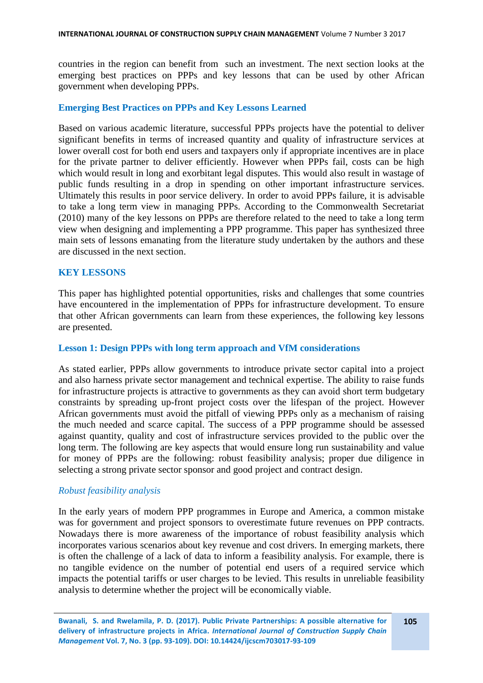countries in the region can benefit from such an investment. The next section looks at the emerging best practices on PPPs and key lessons that can be used by other African government when developing PPPs.

### **Emerging Best Practices on PPPs and Key Lessons Learned**

Based on various academic literature, successful PPPs projects have the potential to deliver significant benefits in terms of increased quantity and quality of infrastructure services at lower overall cost for both end users and taxpayers only if appropriate incentives are in place for the private partner to deliver efficiently. However when PPPs fail, costs can be high which would result in long and exorbitant legal disputes. This would also result in wastage of public funds resulting in a drop in spending on other important infrastructure services. Ultimately this results in poor service delivery. In order to avoid PPPs failure, it is advisable to take a long term view in managing PPPs. According to the Commonwealth Secretariat (2010) many of the key lessons on PPPs are therefore related to the need to take a long term view when designing and implementing a PPP programme. This paper has synthesized three main sets of lessons emanating from the literature study undertaken by the authors and these are discussed in the next section.

#### **KEY LESSONS**

This paper has highlighted potential opportunities, risks and challenges that some countries have encountered in the implementation of PPPs for infrastructure development. To ensure that other African governments can learn from these experiences, the following key lessons are presented.

#### **Lesson 1: Design PPPs with long term approach and VfM considerations**

As stated earlier, PPPs allow governments to introduce private sector capital into a project and also harness private sector management and technical expertise. The ability to raise funds for infrastructure projects is attractive to governments as they can avoid short term budgetary constraints by spreading up-front project costs over the lifespan of the project. However African governments must avoid the pitfall of viewing PPPs only as a mechanism of raising the much needed and scarce capital. The success of a PPP programme should be assessed against quantity, quality and cost of infrastructure services provided to the public over the long term. The following are key aspects that would ensure long run sustainability and value for money of PPPs are the following: robust feasibility analysis; proper due diligence in selecting a strong private sector sponsor and good project and contract design.

#### *Robust feasibility analysis*

In the early years of modern PPP programmes in Europe and America, a common mistake was for government and project sponsors to overestimate future revenues on PPP contracts. Nowadays there is more awareness of the importance of robust feasibility analysis which incorporates various scenarios about key revenue and cost drivers. In emerging markets, there is often the challenge of a lack of data to inform a feasibility analysis. For example, there is no tangible evidence on the number of potential end users of a required service which impacts the potential tariffs or user charges to be levied. This results in unreliable feasibility analysis to determine whether the project will be economically viable.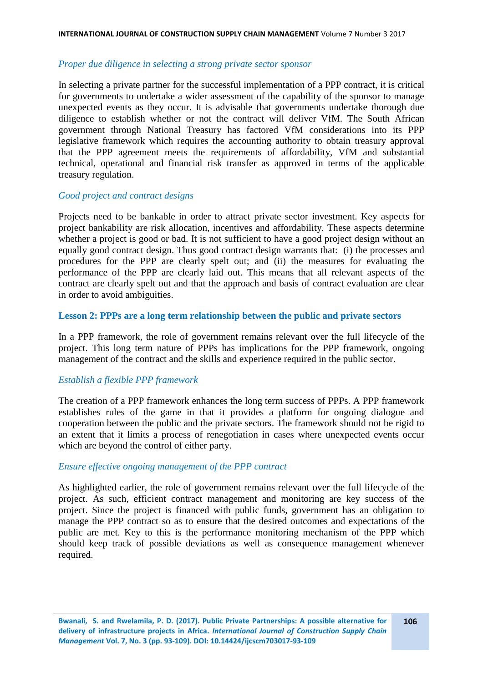#### *Proper due diligence in selecting a strong private sector sponsor*

In selecting a private partner for the successful implementation of a PPP contract, it is critical for governments to undertake a wider assessment of the capability of the sponsor to manage unexpected events as they occur. It is advisable that governments undertake thorough due diligence to establish whether or not the contract will deliver VfM. The South African government through National Treasury has factored VfM considerations into its PPP legislative framework which requires the accounting authority to obtain treasury approval that the PPP agreement meets the requirements of affordability, VfM and substantial technical, operational and financial risk transfer as approved in terms of the applicable treasury regulation.

### *Good project and contract designs*

Projects need to be bankable in order to attract private sector investment. Key aspects for project bankability are risk allocation, incentives and affordability. These aspects determine whether a project is good or bad. It is not sufficient to have a good project design without an equally good contract design. Thus good contract design warrants that: (i) the processes and procedures for the PPP are clearly spelt out; and (ii) the measures for evaluating the performance of the PPP are clearly laid out. This means that all relevant aspects of the contract are clearly spelt out and that the approach and basis of contract evaluation are clear in order to avoid ambiguities.

#### **Lesson 2: PPPs are a long term relationship between the public and private sectors**

In a PPP framework, the role of government remains relevant over the full lifecycle of the project. This long term nature of PPPs has implications for the PPP framework, ongoing management of the contract and the skills and experience required in the public sector.

### *Establish a flexible PPP framework*

The creation of a PPP framework enhances the long term success of PPPs. A PPP framework establishes rules of the game in that it provides a platform for ongoing dialogue and cooperation between the public and the private sectors. The framework should not be rigid to an extent that it limits a process of renegotiation in cases where unexpected events occur which are beyond the control of either party.

### *Ensure effective ongoing management of the PPP contract*

As highlighted earlier, the role of government remains relevant over the full lifecycle of the project. As such, efficient contract management and monitoring are key success of the project. Since the project is financed with public funds, government has an obligation to manage the PPP contract so as to ensure that the desired outcomes and expectations of the public are met. Key to this is the performance monitoring mechanism of the PPP which should keep track of possible deviations as well as consequence management whenever required.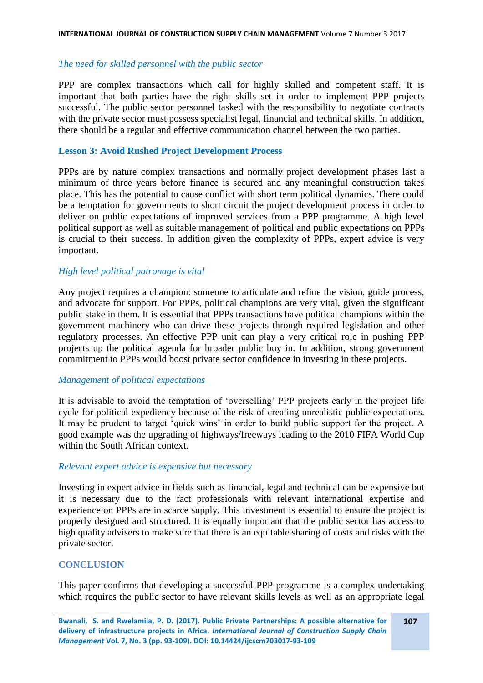#### *The need for skilled personnel with the public sector*

PPP are complex transactions which call for highly skilled and competent staff. It is important that both parties have the right skills set in order to implement PPP projects successful. The public sector personnel tasked with the responsibility to negotiate contracts with the private sector must possess specialist legal, financial and technical skills. In addition, there should be a regular and effective communication channel between the two parties.

#### **Lesson 3: Avoid Rushed Project Development Process**

PPPs are by nature complex transactions and normally project development phases last a minimum of three years before finance is secured and any meaningful construction takes place. This has the potential to cause conflict with short term political dynamics. There could be a temptation for governments to short circuit the project development process in order to deliver on public expectations of improved services from a PPP programme. A high level political support as well as suitable management of political and public expectations on PPPs is crucial to their success. In addition given the complexity of PPPs, expert advice is very important.

#### *High level political patronage is vital*

Any project requires a champion: someone to articulate and refine the vision, guide process, and advocate for support. For PPPs, political champions are very vital, given the significant public stake in them. It is essential that PPPs transactions have political champions within the government machinery who can drive these projects through required legislation and other regulatory processes. An effective PPP unit can play a very critical role in pushing PPP projects up the political agenda for broader public buy in. In addition, strong government commitment to PPPs would boost private sector confidence in investing in these projects.

#### *Management of political expectations*

It is advisable to avoid the temptation of 'overselling' PPP projects early in the project life cycle for political expediency because of the risk of creating unrealistic public expectations. It may be prudent to target 'quick wins' in order to build public support for the project. A good example was the upgrading of highways/freeways leading to the 2010 FIFA World Cup within the South African context.

### *Relevant expert advice is expensive but necessary*

Investing in expert advice in fields such as financial, legal and technical can be expensive but it is necessary due to the fact professionals with relevant international expertise and experience on PPPs are in scarce supply. This investment is essential to ensure the project is properly designed and structured. It is equally important that the public sector has access to high quality advisers to make sure that there is an equitable sharing of costs and risks with the private sector.

### **CONCLUSION**

This paper confirms that developing a successful PPP programme is a complex undertaking which requires the public sector to have relevant skills levels as well as an appropriate legal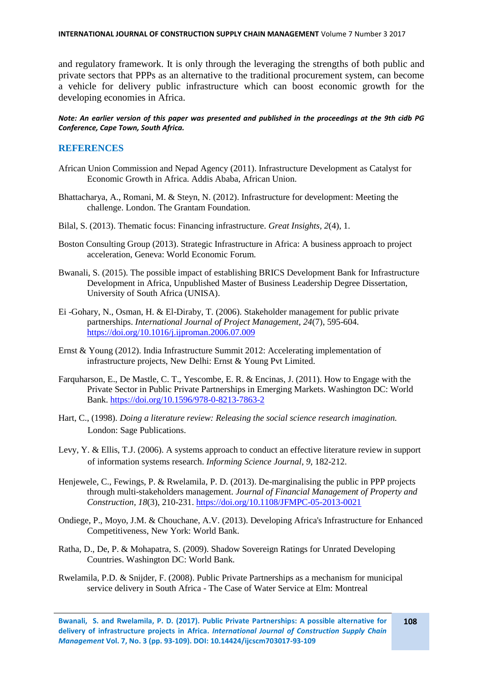and regulatory framework. It is only through the leveraging the strengths of both public and private sectors that PPPs as an alternative to the traditional procurement system, can become a vehicle for delivery public infrastructure which can boost economic growth for the developing economies in Africa.

#### *Note: An earlier version of this paper was presented and published in the proceedings at the 9th cidb PG Conference, Cape Town, South Africa.*

#### **REFERENCES**

- African Union Commission and Nepad Agency (2011). Infrastructure Development as Catalyst for Economic Growth in Africa. Addis Ababa, African Union.
- Bhattacharya, A., Romani, M. & Steyn, N. (2012). Infrastructure for development: Meeting the challenge. London. The Grantam Foundation.
- Bilal, S. (2013). Thematic focus: Financing infrastructure. *Great Insights, 2*(4), 1.
- Boston Consulting Group (2013). Strategic Infrastructure in Africa: A business approach to project acceleration, Geneva: World Economic Forum.
- Bwanali, S. (2015). The possible impact of establishing BRICS Development Bank for Infrastructure Development in Africa, Unpublished Master of Business Leadership Degree Dissertation, University of South Africa (UNISA).
- Ei -Gohary, N., Osman, H. & El-Diraby, T. (2006). Stakeholder management for public private partnerships. *International Journal of Project Management, 24*(7), 595-604. <https://doi.org/10.1016/j.ijproman.2006.07.009>
- Ernst & Young (2012). India Infrastructure Summit 2012: Accelerating implementation of infrastructure projects, New Delhi: Ernst & Young Pvt Limited.
- Farquharson, E., De Mastle, C. T., Yescombe, E. R. & Encinas, J. (2011). How to Engage with the Private Sector in Public Private Partnerships in Emerging Markets. Washington DC: World Bank.<https://doi.org/10.1596/978-0-8213-7863-2>
- Hart, C., (1998). *Doing a literature review: Releasing the social science research imagination.*  London: Sage Publications.
- Levy, Y. & Ellis, T.J. (2006). A systems approach to conduct an effective literature review in support of information systems research. *Informing Science Journal, 9*, 182-212.
- Henjewele, C., Fewings, P. & Rwelamila, P. D. (2013). De-marginalising the public in PPP projects through multi-stakeholders management. *Journal of Financial Management of Property and Construction, 18*(3), 210-231. <https://doi.org/10.1108/JFMPC-05-2013-0021>
- Ondiege, P., Moyo, J.M. & Chouchane, A.V. (2013). Developing Africa's Infrastructure for Enhanced Competitiveness, New York: World Bank.
- Ratha, D., De, P. & Mohapatra, S. (2009). Shadow Sovereign Ratings for Unrated Developing Countries. Washington DC: World Bank.
- Rwelamila, P.D. & Snijder, F. (2008). Public Private Partnerships as a mechanism for municipal service delivery in South Africa - The Case of Water Service at Elm: Montreal